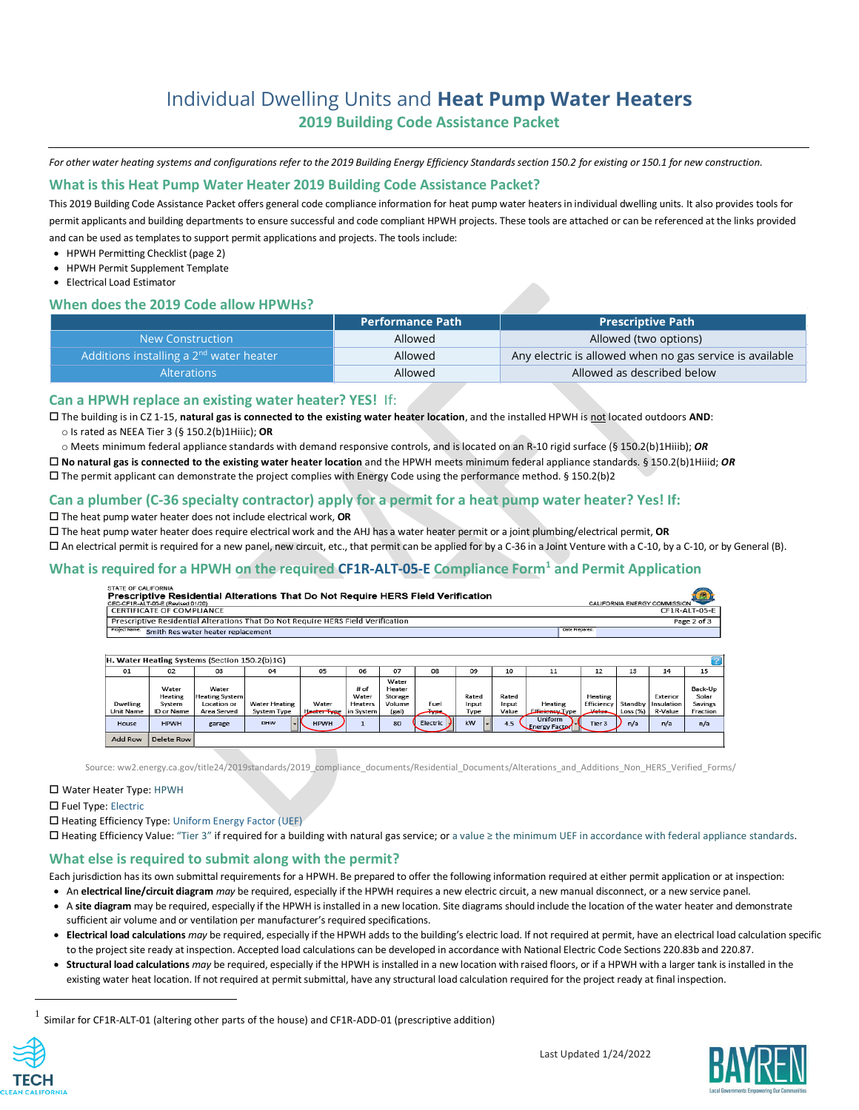## Individual Dwelling Units and **Heat Pump Water Heaters 2019 Building Code Assistance Packet**

*For other water heating systems and configurations refer to the 2019 Building Energy Efficiency Standards section 150.2 for existing or 150.1 for new construction.* 

## **What is this Heat Pump Water Heater 2019 Building Code Assistance Packet?**

This 2019 Building Code Assistance Packet offers general code compliance information for heat pump water heaters in individual dwelling units. It also provides tools for permit applicants and building departments to ensure successful and code compliant HPWH projects. These tools are attached or can be referenced at the links provided and can be used as templates to support permit applications and projects. The tools include:

- HPWH Permitting Checklist (page 2)
- HPWH Permit Supplement Template
- Electrical Load Estimator

## **When does the 2019 Code allow HPWHs?**

|                                                     | <b>Performance Path</b> | <b>Prescriptive Path</b>                                 |
|-----------------------------------------------------|-------------------------|----------------------------------------------------------|
| New Construction                                    | Allowed                 | Allowed (two options)                                    |
| Additions installing a 2 <sup>nd</sup> water heater | Allowed                 | Any electric is allowed when no gas service is available |
| <b>Alterations</b>                                  | Allowed                 | Allowed as described below                               |

## **Can a HPWH replace an existing water heater? YES!** If:

 The building is in CZ 1-15, **natural gas is connected to the existing water heater location**, and the installed HPWH is not located outdoors **AND**: o Is rated as NEEA Tier 3 (§ 150.2(b)1Hiiic); **OR**

o Meets minimum federal appliance standards with demand responsive controls, and is located on an R-10 rigid surface (§ 150.2(b)1Hiiib); *OR*

**No natural gas is connected to the existing water heater location** and the HPWH meets minimum federal appliance standards. § 150.2(b)1Hiiid; *OR*

 $\Box$  The permit applicant can demonstrate the project complies with Energy Code using the performance method. § 150.2(b)2

## **Can a plumber (C-36 specialty contractor) apply for a permit for a heat pump water heater? Yes! If:**

The heat pump water heater does not include electrical work, **OR**

The heat pump water heater does require electrical work and the AHJ has a water heater permit or a joint plumbing/electrical permit, **OR**

An electrical permit is required for a new panel, new circuit, etc., that permit can be applied for by a C-36 in a Joint Venture with a C-10, by a C-10, or by General (B).

## **What is required for a HPWH on the required CF1R-ALT-05-E Compliance Form<sup>1</sup> and Permit Application**

#### Prescriptive Residential Alterations That Do Not Require HERS Field Verification CALIFORNIA ENERGY COMMISSION CEC-CF1R

| I CERTIFICATE OF COMPLIANCE                                                      | CF1R-ALT-05-E  |
|----------------------------------------------------------------------------------|----------------|
| Prescriptive Residential Alterations That Do Not Require HERS Field Verification | Page 2 of 3    |
| <b>Project Name:</b> Smith Res water heater replacement                          | Date Prepared: |
|                                                                                  |                |

| H. Water Heating Systems (Section 150.2(b)1G) |                            |                                               |                      |             |                          |                                      |                  |                |                |                                        |                       |            |                        |                             |
|-----------------------------------------------|----------------------------|-----------------------------------------------|----------------------|-------------|--------------------------|--------------------------------------|------------------|----------------|----------------|----------------------------------------|-----------------------|------------|------------------------|-----------------------------|
| 01                                            | 02                         | 03                                            | 04                   | 05          | 06                       | 07                                   | 08               | 09             | 10             | 11                                     | 12                    | 13         | 14                     | 15                          |
| Dwelling                                      | Water<br>Heating<br>System | Water<br><b>Heating System</b><br>Location or | <b>Water Heating</b> | Water       | # of<br>Water<br>Heaters | Water<br>Heater<br>Storage<br>Volume | Fuel             | Rated<br>Input | Rated<br>Input | Heating                                | Heating<br>Efficiency | Standby    | Exterior<br>Insulation | Back-Up<br>Solar<br>Savings |
| <b>Unit Name</b>                              | ID or Name                 | Area Served                                   | System Type          | Heater Type | in System                | (gal)                                | <del>Typ</del> e | Type           | Value          | <b>Efficiency Type</b>                 | <b>Malue</b>          | Loss $(%)$ | R-Value                | Fraction                    |
| House                                         | <b>HPWH</b>                | garage                                        | ٠K<br><b>DHW</b>     | <b>HPWH</b> |                          | 80                                   | Electric         | kW             | 4.5            | <b>Uniform</b><br><b>Energy Factor</b> | Tier 3                | n/a        | n/a                    | n/a                         |
| Add Row                                       | Delete Row                 |                                               |                      |             |                          |                                      |                  |                |                |                                        |                       |            |                        |                             |

Source[: ww2.energy.ca.gov/title24/2019standards/2019\\_compliance\\_documents/Residential\\_Documents/Alterations\\_and\\_Additions\\_Non\\_HERS\\_Verified\\_Forms/](http://ww2.energy.ca.gov/title24/2019standards/2019_compliance_documents/Residential_Documents/Alterations_and_Additions_Non_HERS_Verified_Forms/) 

#### Water Heater Type: HPWH

□ Fuel Type: Electric

□ Heating Efficiency Type: Uniform Energy Factor (UEF)

Heating Efficiency Value: "Tier 3" if required for a building with natural gas service; or a value ≥ the minimum UEF in accordance with federal appliance standards.

## **What else is required to submit along with the permit?**

Each jurisdiction has its own submittal requirements for a HPWH. Be prepared to offer the following information required at either permit application or at inspection:

• An **electrical line/circuit diagram** *may* be required, especially if the HPWH requires a new electric circuit, a new manual disconnect, or a new service panel.

- A **site diagram** may be required, especially if the HPWH is installed in a new location. Site diagrams should include the location of the water heater and demonstrate sufficient air volume and or ventilation per manufacturer's required specifications.
- **Electrical load calculations** *may* be required, especially if the HPWH adds to the building's electric load. If not required at permit, have an electrical load calculation specific to the project site ready at inspection. Accepted load calculations can be developed in accordance with National Electric Code Sections 220.83b and 220.87.
- **Structural load calculations** *may* be required, especially if the HPWH is installed in a new location with raised floors, or if a HPWH with a larger tank is installed in the existing water heat location. If not required at permit submittal, have any structural load calculation required for the project ready at final inspection.

1 Similar for CF1R-ALT-01 (altering other parts of the house) and CF1R-ADD-01 (prescriptive addition)